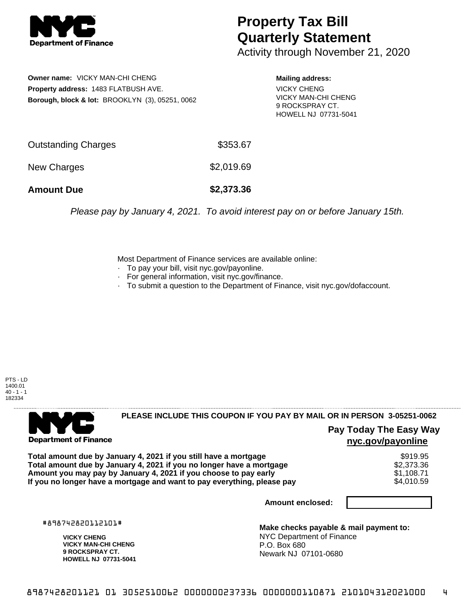

## **Property Tax Bill Quarterly Statement**

Activity through November 21, 2020

**Owner name:** VICKY MAN-CHI CHENG **Property address:** 1483 FLATBUSH AVE. **Borough, block & lot:** BROOKLYN (3), 05251, 0062 **Mailing address:**

VICKY CHENG VICKY MAN-CHI CHENG 9 ROCKSPRAY CT. HOWELL NJ 07731-5041

| <b>Amount Due</b>   | \$2,373.36 |
|---------------------|------------|
| New Charges         | \$2,019.69 |
| Outstanding Charges | \$353.67   |

Please pay by January 4, 2021. To avoid interest pay on or before January 15th.

Most Department of Finance services are available online:

- · To pay your bill, visit nyc.gov/payonline.
- For general information, visit nyc.gov/finance.
- · To submit a question to the Department of Finance, visit nyc.gov/dofaccount.

PTS - LD 1400.01  $40 - 1 - 1$ 182334



**PLEASE INCLUDE THIS COUPON IF YOU PAY BY MAIL OR IN PERSON 3-05251-0062** 

**Pay Today The Easy Way nyc.gov/payonline**

**Total amount due by January 4, 2021 if you still have a mortgage**  $$919.95$ **Total amount due by January 4, 2021 if you no longer have a mortgage**  $$2,373.36$ **Amount you may pay by January 4, 2021 if you choose to pay early \$1,108.71 \$1,108.71 If you no longer have a mortgage and want to pay everything, please pay**  $$4,010.59$ 

**Amount enclosed:**

#898742820112101#

**VICKY CHENG VICKY MAN-CHI CHENG 9 ROCKSPRAY CT. HOWELL NJ 07731-5041**

**Make checks payable & mail payment to:** NYC Department of Finance P.O. Box 680 Newark NJ 07101-0680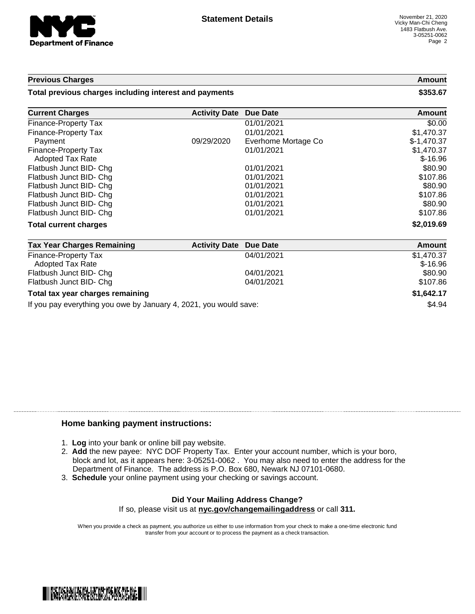

## **Previous Charges Amount**

**Total previous charges including interest and payments \$353.67**

| <b>Current Charges</b>                                            | <b>Activity Date</b> | <b>Due Date</b>     | <b>Amount</b>           |
|-------------------------------------------------------------------|----------------------|---------------------|-------------------------|
| Finance-Property Tax                                              |                      | 01/01/2021          | \$0.00                  |
| <b>Finance-Property Tax</b>                                       |                      | 01/01/2021          | \$1,470.37              |
| Payment                                                           | 09/29/2020           | Everhome Mortage Co | $$-1,470.37$            |
| Finance-Property Tax<br><b>Adopted Tax Rate</b>                   |                      | 01/01/2021          | \$1,470.37<br>$$-16.96$ |
| Flatbush Junct BID- Chg                                           |                      | 01/01/2021          | \$80.90                 |
| Flatbush Junct BID- Chg                                           |                      | 01/01/2021          | \$107.86                |
| Flatbush Junct BID- Chg                                           |                      | 01/01/2021          | \$80.90                 |
| Flatbush Junct BID- Chg                                           |                      | 01/01/2021          | \$107.86                |
| Flatbush Junct BID- Chg                                           |                      | 01/01/2021          | \$80.90                 |
| Flatbush Junct BID- Chg                                           |                      | 01/01/2021          | \$107.86                |
| <b>Total current charges</b>                                      |                      |                     | \$2,019.69              |
| <b>Tax Year Charges Remaining</b>                                 | <b>Activity Date</b> | <b>Due Date</b>     | <b>Amount</b>           |
| <b>Finance-Property Tax</b><br><b>Adopted Tax Rate</b>            |                      | 04/01/2021          | \$1,470.37<br>$$-16.96$ |
| Flatbush Junct BID- Chg                                           |                      | 04/01/2021          | \$80.90                 |
| Flatbush Junct BID- Chg                                           |                      | 04/01/2021          | \$107.86                |
| Total tax year charges remaining                                  |                      |                     | \$1,642.17              |
| If you pay everything you owe by January 4, 2021, you would save: |                      |                     | \$4.94                  |

## **Home banking payment instructions:**

- 1. **Log** into your bank or online bill pay website.
- 2. **Add** the new payee: NYC DOF Property Tax. Enter your account number, which is your boro, block and lot, as it appears here: 3-05251-0062 . You may also need to enter the address for the Department of Finance. The address is P.O. Box 680, Newark NJ 07101-0680.
- 3. **Schedule** your online payment using your checking or savings account.

## **Did Your Mailing Address Change?** If so, please visit us at **nyc.gov/changemailingaddress** or call **311.**

When you provide a check as payment, you authorize us either to use information from your check to make a one-time electronic fund transfer from your account or to process the payment as a check transaction.